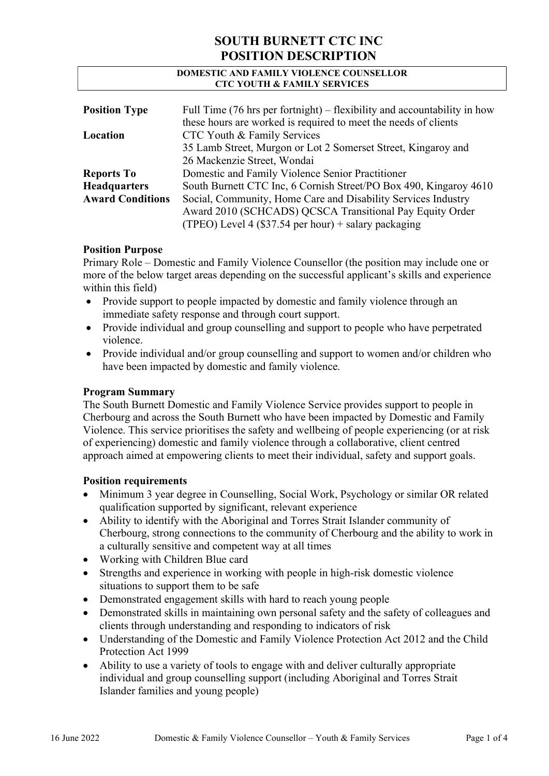#### DOMESTIC AND FAMILY VIOLENCE COUNSELLOR CTC YOUTH & FAMILY SERVICES

| <b>Position Type</b>    | Full Time $(76 \text{ hrs per fortnight})$ – flexibility and accountability in how<br>these hours are worked is required to meet the needs of clients |  |  |
|-------------------------|-------------------------------------------------------------------------------------------------------------------------------------------------------|--|--|
| Location                | CTC Youth & Family Services                                                                                                                           |  |  |
|                         | 35 Lamb Street, Murgon or Lot 2 Somerset Street, Kingaroy and                                                                                         |  |  |
|                         | 26 Mackenzie Street, Wondai                                                                                                                           |  |  |
| <b>Reports To</b>       | Domestic and Family Violence Senior Practitioner                                                                                                      |  |  |
| <b>Headquarters</b>     | South Burnett CTC Inc, 6 Cornish Street/PO Box 490, Kingaroy 4610                                                                                     |  |  |
| <b>Award Conditions</b> | Social, Community, Home Care and Disability Services Industry<br>Award 2010 (SCHCADS) QCSCA Transitional Pay Equity Order                             |  |  |
|                         |                                                                                                                                                       |  |  |
|                         | (TPEO) Level 4 (\$37.54 per hour) + salary packaging                                                                                                  |  |  |

#### Position Purpose

Primary Role – Domestic and Family Violence Counsellor (the position may include one or more of the below target areas depending on the successful applicant's skills and experience within this field)

- Provide support to people impacted by domestic and family violence through an immediate safety response and through court support.
- Provide individual and group counselling and support to people who have perpetrated violence.
- Provide individual and/or group counselling and support to women and/or children who have been impacted by domestic and family violence.

### Program Summary

The South Burnett Domestic and Family Violence Service provides support to people in Cherbourg and across the South Burnett who have been impacted by Domestic and Family Violence. This service prioritises the safety and wellbeing of people experiencing (or at risk of experiencing) domestic and family violence through a collaborative, client centred approach aimed at empowering clients to meet their individual, safety and support goals.

#### Position requirements

- Minimum 3 year degree in Counselling, Social Work, Psychology or similar OR related qualification supported by significant, relevant experience
- Ability to identify with the Aboriginal and Torres Strait Islander community of Cherbourg, strong connections to the community of Cherbourg and the ability to work in a culturally sensitive and competent way at all times
- Working with Children Blue card
- Strengths and experience in working with people in high-risk domestic violence situations to support them to be safe
- Demonstrated engagement skills with hard to reach young people
- Demonstrated skills in maintaining own personal safety and the safety of colleagues and clients through understanding and responding to indicators of risk
- Understanding of the Domestic and Family Violence Protection Act 2012 and the Child Protection Act 1999
- Ability to use a variety of tools to engage with and deliver culturally appropriate individual and group counselling support (including Aboriginal and Torres Strait Islander families and young people)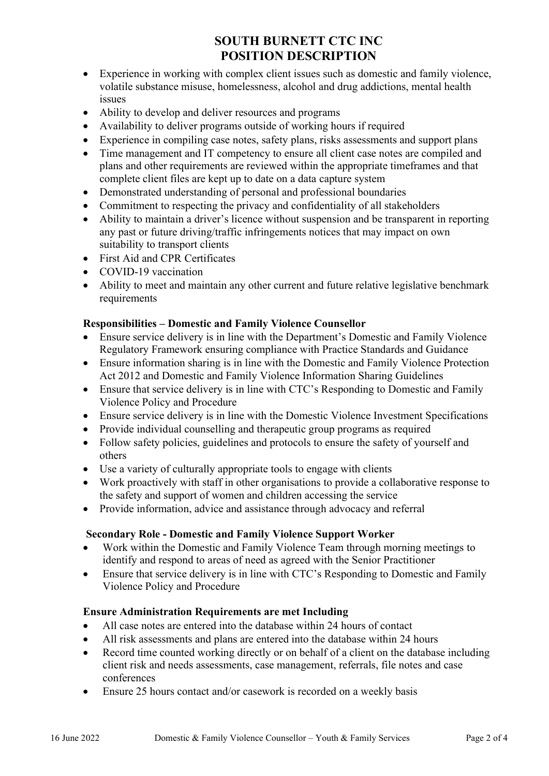- Experience in working with complex client issues such as domestic and family violence, volatile substance misuse, homelessness, alcohol and drug addictions, mental health issues
- Ability to develop and deliver resources and programs
- Availability to deliver programs outside of working hours if required
- Experience in compiling case notes, safety plans, risks assessments and support plans
- Time management and IT competency to ensure all client case notes are compiled and plans and other requirements are reviewed within the appropriate timeframes and that complete client files are kept up to date on a data capture system
- Demonstrated understanding of personal and professional boundaries
- Commitment to respecting the privacy and confidentiality of all stakeholders
- Ability to maintain a driver's licence without suspension and be transparent in reporting any past or future driving/traffic infringements notices that may impact on own suitability to transport clients
- First Aid and CPR Certificates
- COVID-19 vaccination
- Ability to meet and maintain any other current and future relative legislative benchmark requirements

### Responsibilities – Domestic and Family Violence Counsellor

- Ensure service delivery is in line with the Department's Domestic and Family Violence Regulatory Framework ensuring compliance with Practice Standards and Guidance
- Ensure information sharing is in line with the Domestic and Family Violence Protection Act 2012 and Domestic and Family Violence Information Sharing Guidelines
- Ensure that service delivery is in line with CTC's Responding to Domestic and Family Violence Policy and Procedure
- Ensure service delivery is in line with the Domestic Violence Investment Specifications
- Provide individual counselling and therapeutic group programs as required
- Follow safety policies, guidelines and protocols to ensure the safety of yourself and others
- Use a variety of culturally appropriate tools to engage with clients
- Work proactively with staff in other organisations to provide a collaborative response to the safety and support of women and children accessing the service
- Provide information, advice and assistance through advocacy and referral

### Secondary Role - Domestic and Family Violence Support Worker

- Work within the Domestic and Family Violence Team through morning meetings to identify and respond to areas of need as agreed with the Senior Practitioner
- Ensure that service delivery is in line with CTC's Responding to Domestic and Family Violence Policy and Procedure

### Ensure Administration Requirements are met Including

- All case notes are entered into the database within 24 hours of contact
- All risk assessments and plans are entered into the database within 24 hours
- Record time counted working directly or on behalf of a client on the database including client risk and needs assessments, case management, referrals, file notes and case conferences
- Ensure 25 hours contact and/or casework is recorded on a weekly basis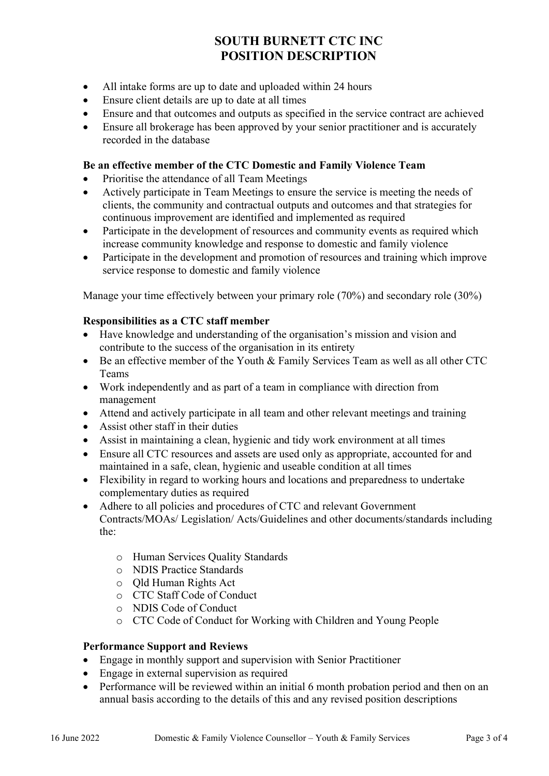- All intake forms are up to date and uploaded within 24 hours
- Ensure client details are up to date at all times
- Ensure and that outcomes and outputs as specified in the service contract are achieved
- Ensure all brokerage has been approved by your senior practitioner and is accurately recorded in the database

### Be an effective member of the CTC Domestic and Family Violence Team

- Prioritise the attendance of all Team Meetings
- Actively participate in Team Meetings to ensure the service is meeting the needs of clients, the community and contractual outputs and outcomes and that strategies for continuous improvement are identified and implemented as required
- Participate in the development of resources and community events as required which increase community knowledge and response to domestic and family violence
- Participate in the development and promotion of resources and training which improve service response to domestic and family violence

Manage your time effectively between your primary role (70%) and secondary role (30%)

#### Responsibilities as a CTC staff member

- Have knowledge and understanding of the organisation's mission and vision and contribute to the success of the organisation in its entirety
- Be an effective member of the Youth & Family Services Team as well as all other CTC Teams
- Work independently and as part of a team in compliance with direction from management
- Attend and actively participate in all team and other relevant meetings and training
- Assist other staff in their duties
- Assist in maintaining a clean, hygienic and tidy work environment at all times
- Ensure all CTC resources and assets are used only as appropriate, accounted for and maintained in a safe, clean, hygienic and useable condition at all times
- Flexibility in regard to working hours and locations and preparedness to undertake complementary duties as required
- Adhere to all policies and procedures of CTC and relevant Government Contracts/MOAs/ Legislation/ Acts/Guidelines and other documents/standards including the:
	- o Human Services Quality Standards
	- o NDIS Practice Standards
	- o Qld Human Rights Act
	- o CTC Staff Code of Conduct
	- o NDIS Code of Conduct
	- o CTC Code of Conduct for Working with Children and Young People

#### Performance Support and Reviews

- Engage in monthly support and supervision with Senior Practitioner
- Engage in external supervision as required
- Performance will be reviewed within an initial 6 month probation period and then on an annual basis according to the details of this and any revised position descriptions